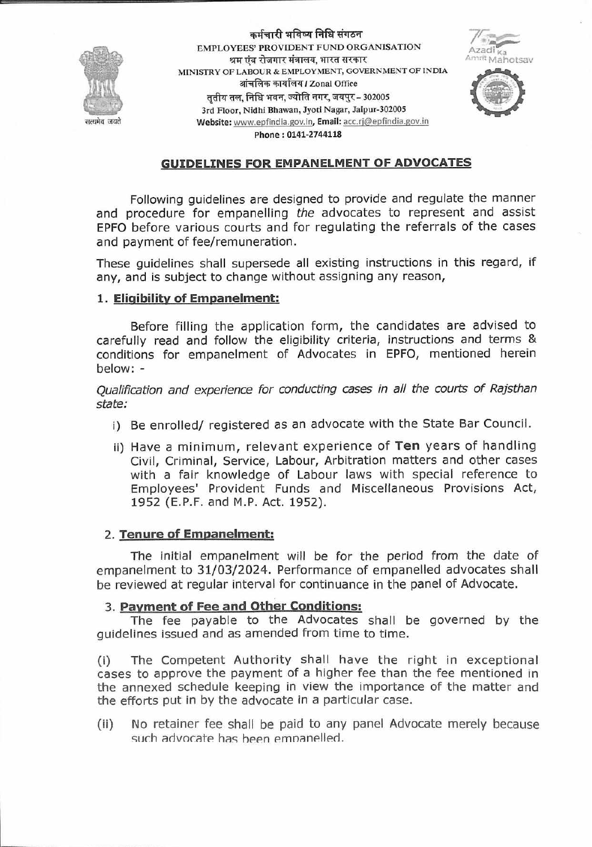

कर्मचारी भविष्य निधि संगठन EMPLOYEES' PROVIDENT FUND ORGANISATION श्रम एंव रोजगार मंत्रालय. भारत सरकार MINISTRY OF LABOUR & EMPLOYMENT, GOVERNMENT OF INDIA आंचलिक कार्यालय / Zonal Office तृतीय तल, निधि भवन, ज्योति नगर, जयपुर - 302005 3rd Floor, Nidhi Bhawan, Jyoti Nagar, Jaipur-302005 Website: www.epfindia.gov.in, Email: acc.rj@epfindia.gov.in Phone: 0141-2744118



# **GUIDELINES FOR EMPANELMENT OF ADVOCATES**

Following guidelines are designed to provide and regulate the manner and procedure for empanelling the advocates to represent and assist EPFO before various courts and for regulating the referrals of the cases and payment of fee/remuneration.

These guidelines shall supersede all existing instructions in this regard, if any, and is subject to change without assigning any reason,

### 1. Eligibility of Empanelment:

Before filling the application form, the candidates are advised to carefully read and follow the eligibility criteria, instructions and terms & conditions for empanelment of Advocates in EPFO, mentioned herein below: -

Qualification and experience for conducting cases in all the courts of Rajsthan state:

- i) Be enrolled/ registered as an advocate with the State Bar Council.
- ii) Have a minimum, relevant experience of Ten years of handling Civil, Criminal, Service, Labour, Arbitration matters and other cases with a fair knowledge of Labour laws with special reference to Employees' Provident Funds and Miscellaneous Provisions Act, 1952 (E.P.F. and M.P. Act. 1952).

# 2. Tenure of Empanelment:

The initial empanelment will be for the period from the date of empanelment to 31/03/2024. Performance of empanelled advocates shall be reviewed at regular interval for continuance in the panel of Advocate.

# 3. Payment of Fee and Other Conditions:

The fee payable to the Advocates shall be governed by the quidelines issued and as amended from time to time.

The Competent Authority shall have the right in exceptional  $(i)$ cases to approve the payment of a higher fee than the fee mentioned in the annexed schedule keeping in view the importance of the matter and the efforts put in by the advocate in a particular case.

 $(ii)$ No retainer fee shall be paid to any panel Advocate merely because such advocate has been empanelled.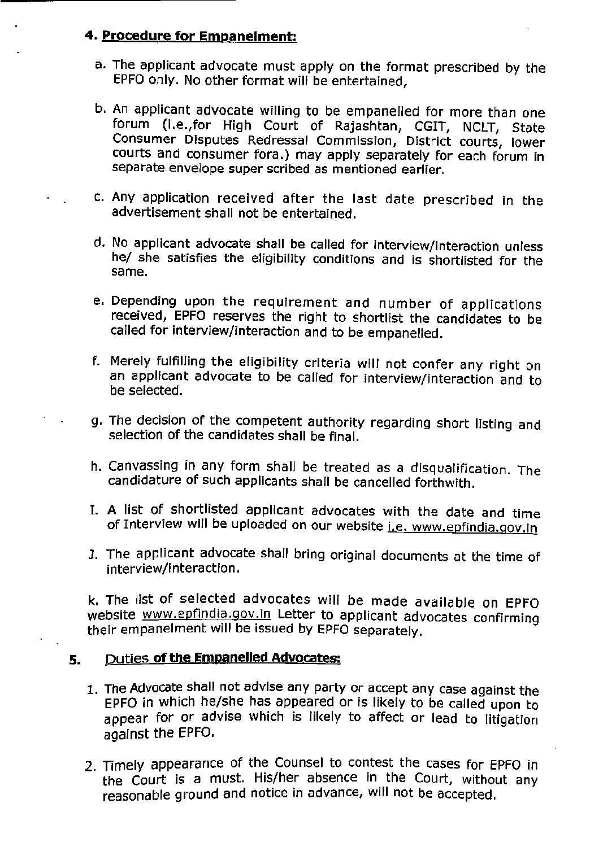# 4. Procedure for Empanelment:

- a. The applicant advocate must apply on the format prescribed by the EPFO only. No other format will be entertained,
- b. An applicant advocate willing to be empanelled for more than one forum (i.e., for High Court of Rajashtan, CGIT, NCLT, State Consumer Disputes Redressal Commission, District courts, lower courts and consumer fora.) may apply separately for each forum in separate envelope super scribed as mentioned earlier.
- c. Any application received after the last date prescribed in the advertisement shall not be entertained.
- d. No applicant advocate shall be called for interview/interaction unless he/ she satisfies the eligibility conditions and is shortlisted for the same.
- e. Depending upon the requirement and number of applications received, EPFO reserves the right to shortlist the candidates to be called for interview/interaction and to be empanelled.
- f. Merely fulfilling the eligibility criteria will not confer any right on an applicant advocate to be called for interview/interaction and to be selected.
- g. The decision of the competent authority regarding short listing and selection of the candidates shall be final.
- h. Canvassing in any form shall be treated as a disqualification. The candidature of such applicants shall be cancelled forthwith.
- I. A list of shortlisted applicant advocates with the date and time of Interview will be uploaded on our website i.e. www.epfindia.gov.in
- J. The applicant advocate shall bring original documents at the time of interview/interaction.

k. The list of selected advocates will be made available on EPFO website www.epfindia.gov.in Letter to applicant advocates confirming their empanelment will be issued by EPFO separately.

#### Duties of the Empanelled Advocates: 5.

- 1. The Advocate shall not advise any party or accept any case against the EPFO in which he/she has appeared or is likely to be called upon to appear for or advise which is likely to affect or lead to litigation against the EPFO.
- 2. Timely appearance of the Counsel to contest the cases for EPFO in the Court is a must. His/her absence in the Court, without any reasonable ground and notice in advance, will not be accepted.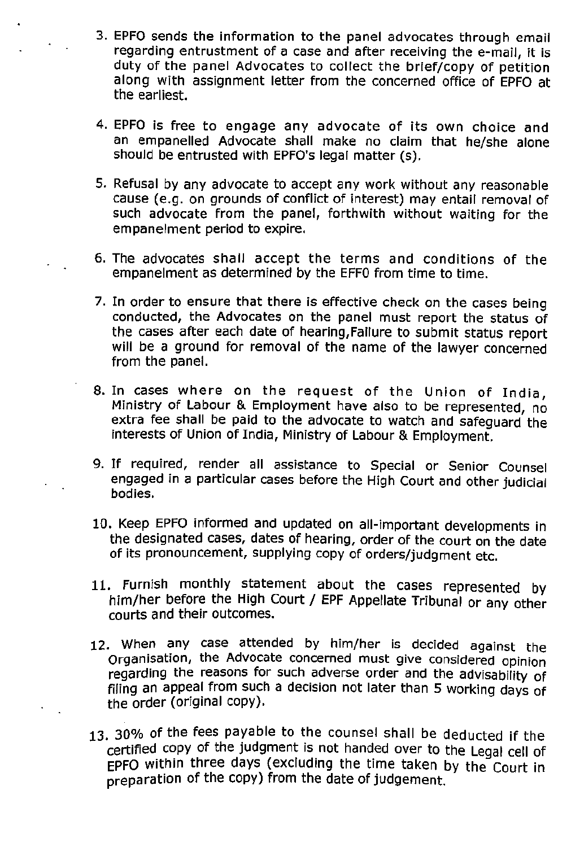- 3. EPFO sends the information to the panel advocates through email regarding entrustment of a case and after receiving the e-mail, it is duty of the panel Advocates to collect the brief/copy of petition along with assignment letter from the concerned office of EPFO at the earliest.
- 4. EPFO is free to engage any advocate of its own choice and an empanelled Advocate shall make no claim that he/she alone should be entrusted with EPFO's legal matter (s).
- 5. Refusal by any advocate to accept any work without any reasonable cause (e.g. on grounds of conflict of interest) may entail removal of such advocate from the panel, forthwith without waiting for the empanelment period to expire.
- 6. The advocates shall accept the terms and conditions of the empanelment as determined by the EFF0 from time to time.
- 7. In order to ensure that there is effective check on the cases being conducted, the Advocates on the panel must report the status of the cases after each date of hearing, Failure to submit status report will be a ground for removal of the name of the lawyer concerned from the panel.
- 8. In cases where on the request of the Union of India, Ministry of Labour & Employment have also to be represented, no extra fee shall be paid to the advocate to watch and safeguard the interests of Union of India, Ministry of Labour & Employment.
- 9. If required, render all assistance to Special or Senior Counsel engaged in a particular cases before the High Court and other judicial bodies.
- 10. Keep EPFO informed and updated on all-important developments in the designated cases, dates of hearing, order of the court on the date of its pronouncement, supplying copy of orders/judgment etc.
- 11. Furnish monthly statement about the cases represented by him/her before the High Court / EPF Appellate Tribunal or any other courts and their outcomes.
- 12. When any case attended by him/her is decided against the Organisation, the Advocate concerned must give considered opinion regarding the reasons for such adverse order and the advisability of filing an appeal from such a decision not later than 5 working days of the order (original copy).
- 13. 30% of the fees payable to the counsel shall be deducted if the certified copy of the judgment is not handed over to the Legal cell of EPFO within three days (excluding the time taken by the Court in preparation of the copy) from the date of judgement.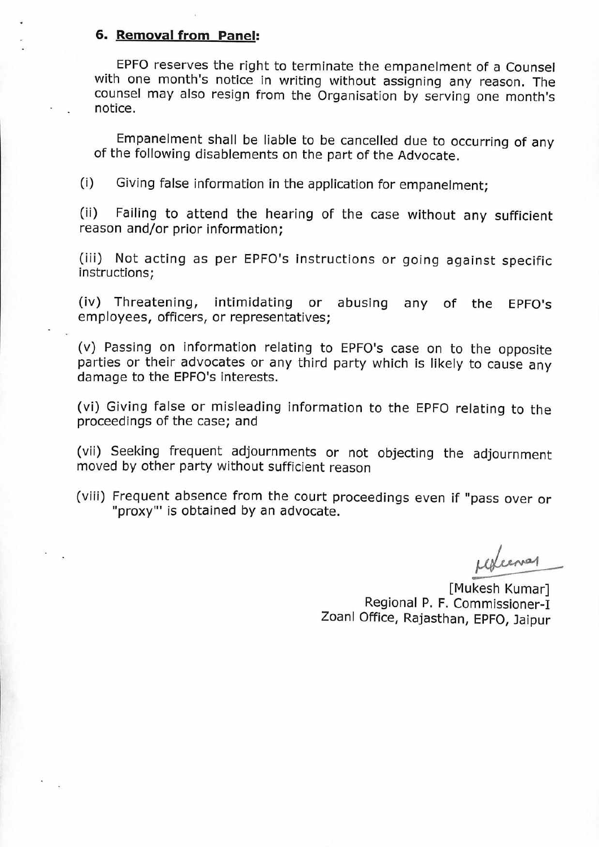### 6. Removal from Panel:

EPFO reserves the right to terminate the empanelment of a Counsel with one month's notice in writing without assigning any reason. The counsel may also resign from the Organisation by serving one month's notice.

Empanelment shall be liable to be cancelled due to occurring of any of the following disablements on the part of the Advocate.

 $(i)$ Giving false information in the application for empanelment:

Failing to attend the hearing of the case without any sufficient  $(ii)$ reason and/or prior information;

(iii) Not acting as per EPFO's instructions or going against specific instructions;

(iv) Threatening, intimidating or abusing any of the EPFO's employees, officers, or representatives;

(v) Passing on information relating to EPFO's case on to the opposite parties or their advocates or any third party which is likely to cause any damage to the EPFO's interests.

(vi) Giving false or misleading information to the EPFO relating to the proceedings of the case; and

(vii) Seeking frequent adjournments or not objecting the adjournment moved by other party without sufficient reason

(viii) Frequent absence from the court proceedings even if "pass over or "proxy"' is obtained by an advocate.

remal

[Mukesh Kumar] Regional P. F. Commissioner-I Zoanl Office, Rajasthan, EPFO, Jaipur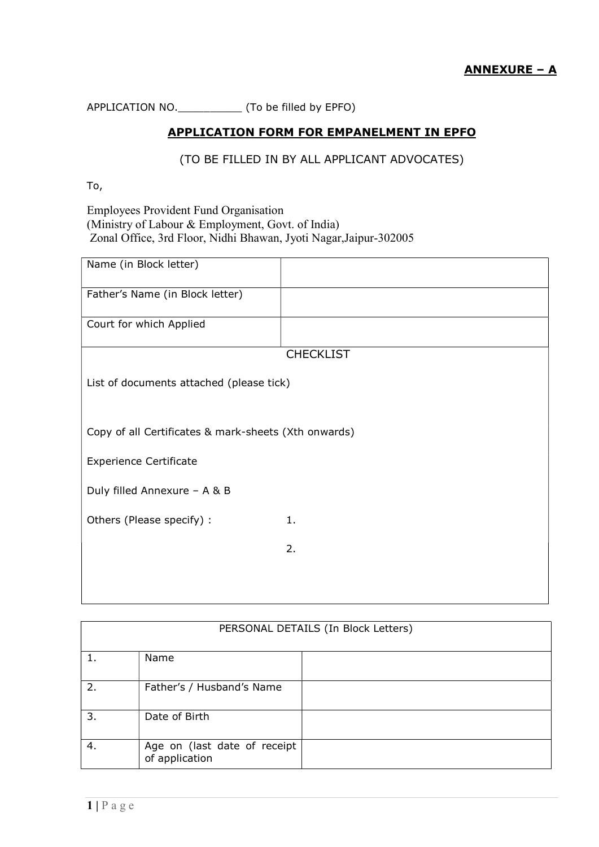APPLICATION NO.\_\_\_\_\_\_\_\_\_\_ (To be filled by EPFO)

# APPLICATION FORM FOR EMPANELMENT IN EPFO

(TO BE FILLED IN BY ALL APPLICANT ADVOCATES)

To,

Employees Provident Fund Organisation (Ministry of Labour & Employment, Govt. of India) Zonal Office, 3rd Floor, Nidhi Bhawan, Jyoti Nagar,Jaipur-302005

| Name (in Block letter)                               |                  |  |
|------------------------------------------------------|------------------|--|
| Father's Name (in Block letter)                      |                  |  |
| Court for which Applied                              |                  |  |
|                                                      | <b>CHECKLIST</b> |  |
|                                                      |                  |  |
| List of documents attached (please tick)             |                  |  |
|                                                      |                  |  |
|                                                      |                  |  |
| Copy of all Certificates & mark-sheets (Xth onwards) |                  |  |
| <b>Experience Certificate</b>                        |                  |  |
| Duly filled Annexure - A & B                         |                  |  |
| Others (Please specify) :                            | 1.               |  |
|                                                      | 2.               |  |
|                                                      |                  |  |
|                                                      |                  |  |

| PERSONAL DETAILS (In Block Letters) |                                                |  |
|-------------------------------------|------------------------------------------------|--|
|                                     | Name                                           |  |
| 2.                                  | Father's / Husband's Name                      |  |
| 3.                                  | Date of Birth                                  |  |
| 4.                                  | Age on (last date of receipt<br>of application |  |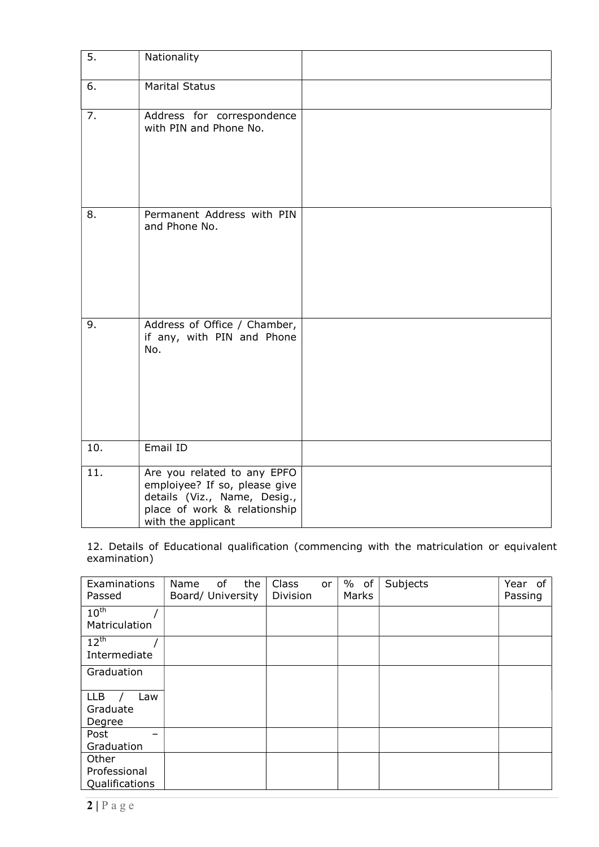| 5.  | Nationality                                                                                                                                        |  |
|-----|----------------------------------------------------------------------------------------------------------------------------------------------------|--|
| 6.  | <b>Marital Status</b>                                                                                                                              |  |
| 7.  | Address for correspondence<br>with PIN and Phone No.                                                                                               |  |
| 8.  | Permanent Address with PIN<br>and Phone No.                                                                                                        |  |
| 9.  | Address of Office / Chamber,<br>if any, with PIN and Phone<br>No.                                                                                  |  |
| 10. | Email ID                                                                                                                                           |  |
| 11. | Are you related to any EPFO<br>emploiyee? If so, please give<br>details (Viz., Name, Desig.,<br>place of work & relationship<br>with the applicant |  |

12. Details of Educational qualification (commencing with the matriculation or equivalent examination)

| Examinations<br>Passed                  | of<br>the<br>Name<br>Board/ University | Class<br>or<br>Division | $%$ of<br>Marks | Subjects | Year<br>of<br>Passing |
|-----------------------------------------|----------------------------------------|-------------------------|-----------------|----------|-----------------------|
| $10^{\text{th}}$<br>Matriculation       |                                        |                         |                 |          |                       |
| $12^{th}$<br>Intermediate               |                                        |                         |                 |          |                       |
| Graduation                              |                                        |                         |                 |          |                       |
| <b>LLB</b><br>Law<br>Graduate<br>Degree |                                        |                         |                 |          |                       |
| Post<br>Graduation                      |                                        |                         |                 |          |                       |
| Other<br>Professional<br>Qualifications |                                        |                         |                 |          |                       |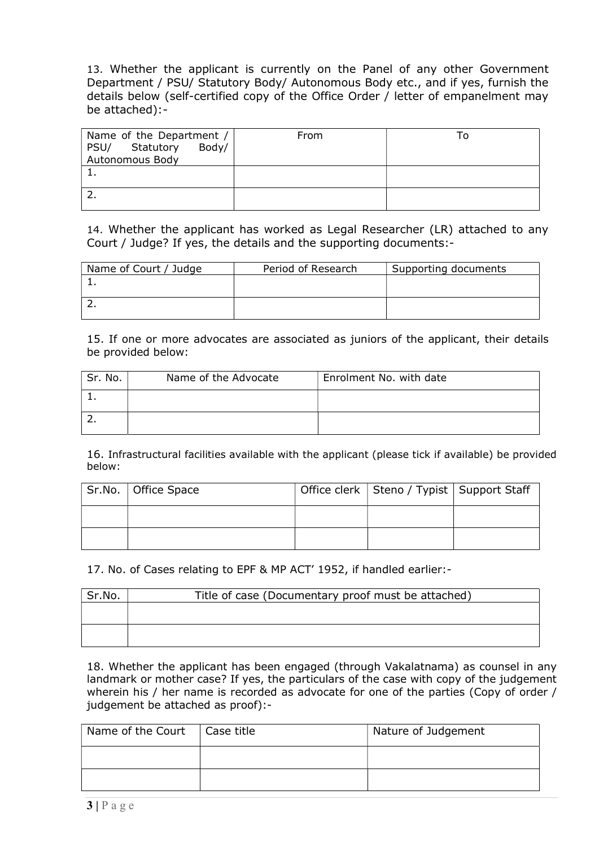13. Whether the applicant is currently on the Panel of any other Government Department / PSU/ Statutory Body/ Autonomous Body etc., and if yes, furnish the details below (self-certified copy of the Office Order / letter of empanelment may be attached):-

| Name of the Department /<br>Statutory<br>Body/<br>PSU/<br>Autonomous Body | From |  |
|---------------------------------------------------------------------------|------|--|
|                                                                           |      |  |
|                                                                           |      |  |

14. Whether the applicant has worked as Legal Researcher (LR) attached to any Court / Judge? If yes, the details and the supporting documents:-

| Name of Court / Judge | Period of Research | Supporting documents |
|-----------------------|--------------------|----------------------|
|                       |                    |                      |
|                       |                    |                      |
|                       |                    |                      |
|                       |                    |                      |

15. If one or more advocates are associated as juniors of the applicant, their details be provided below:

| Sr. No. | Name of the Advocate | Enrolment No. with date |
|---------|----------------------|-------------------------|
|         |                      |                         |
|         |                      |                         |

16. Infrastructural facilities available with the applicant (please tick if available) be provided below:

| Sr.No.   Office Space | Office clerk   Steno / Typist   Support Staff |  |
|-----------------------|-----------------------------------------------|--|
|                       |                                               |  |
|                       |                                               |  |

17. No. of Cases relating to EPF & MP ACT' 1952, if handled earlier:-

| Sr.No. | Title of case (Documentary proof must be attached) |
|--------|----------------------------------------------------|
|        |                                                    |
|        |                                                    |
|        |                                                    |

18. Whether the applicant has been engaged (through Vakalatnama) as counsel in any landmark or mother case? If yes, the particulars of the case with copy of the judgement wherein his / her name is recorded as advocate for one of the parties (Copy of order / judgement be attached as proof):-

| Name of the Court $\vert$ Case title | Nature of Judgement |
|--------------------------------------|---------------------|
|                                      |                     |
|                                      |                     |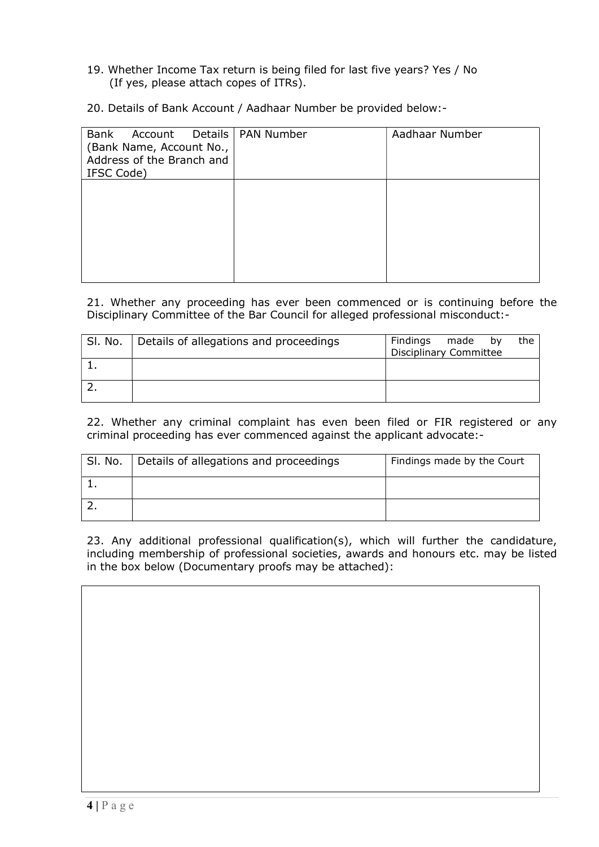- 19. Whether Income Tax return is being filed for last five years? Yes / No (If yes, please attach copes of ITRs).
- 20. Details of Bank Account / Aadhaar Number be provided below:-

| Bank<br>Account Details   PAN Number<br>(Bank Name, Account No.,<br>Address of the Branch and<br>IFSC Code) | Aadhaar Number |
|-------------------------------------------------------------------------------------------------------------|----------------|
|                                                                                                             |                |
|                                                                                                             |                |

21. Whether any proceeding has ever been commenced or is continuing before the Disciplinary Committee of the Bar Council for alleged professional misconduct:-

| Sl. No. | Details of allegations and proceedings | Findings<br>made<br>the<br>bv<br>Disciplinary Committee |
|---------|----------------------------------------|---------------------------------------------------------|
|         |                                        |                                                         |
|         |                                        |                                                         |

22. Whether any criminal complaint has even been filed or FIR registered or any criminal proceeding has ever commenced against the applicant advocate:-

| SI. No. | Details of allegations and proceedings | Findings made by the Court |
|---------|----------------------------------------|----------------------------|
|         |                                        |                            |
|         |                                        |                            |

23. Any additional professional qualification(s), which will further the candidature, including membership of professional societies, awards and honours etc. may be listed in the box below (Documentary proofs may be attached):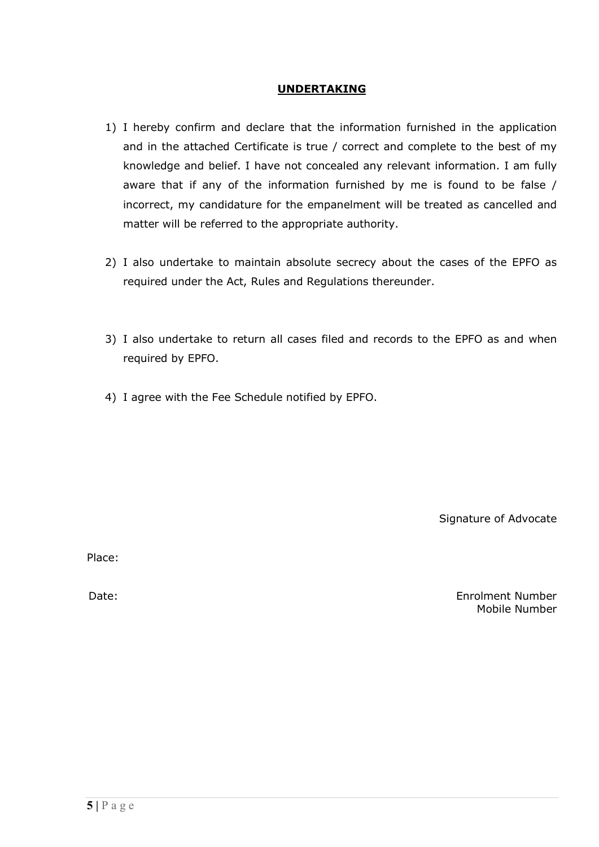### UNDERTAKING

- 1) I hereby confirm and declare that the information furnished in the application and in the attached Certificate is true / correct and complete to the best of my knowledge and belief. I have not concealed any relevant information. I am fully aware that if any of the information furnished by me is found to be false / incorrect, my candidature for the empanelment will be treated as cancelled and matter will be referred to the appropriate authority.
- 2) I also undertake to maintain absolute secrecy about the cases of the EPFO as required under the Act, Rules and Regulations thereunder.
- 3) I also undertake to return all cases filed and records to the EPFO as and when required by EPFO.
- 4) I agree with the Fee Schedule notified by EPFO.

Signature of Advocate

Place:

Date: Enrolment Number Mobile Number